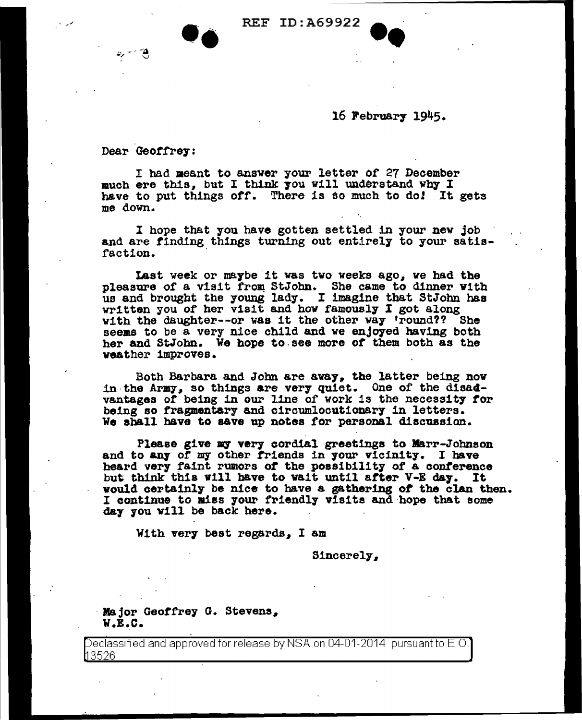## REF ID:A69922



Dear Geoffrey:

مخ محرد

I had meant to answer your letter of 27 December much ere this, but I think you will understand why I have to put things off. There is so much to do! It gets me down.

I hope that you have gotten settled in your new job and are finding things turning out entirely to your satisfaction.

Last week or maybe it was two weeks ago, we had the pleasure of a visit from StJohn. She came to dinner with us and brought the young lady. I imagine that StJohn has written you of her visit and how famously I got along with the daughter--or was it the other way 'round?? She seems to be a very nice child and we enjoyed having both her and StJohn. We hope to see more of them both as the weather improves.

Both Barbara and John are away, the latter being now in the Army, so things are very quiet. One of the disadvantages of being in our line of work is the necessity for being so fragmentary and circumlocutionary in letters. We aball have to save up notes tor personal discussion.

Please give my very cordial greetings to Marr-Johnson and to any of my other friends in your vicinity. I have heard very faint rumors of the possibility of a conference but think this will have to wait until after V-E day. It would certainly be nice to have a gathering ot the clan then. I continue to miss your friendly visits and hope that some da7 7ou Will be back here.

With very best regards, I am

Sincerely,

· Major Geoffrey G. Stevens. W.E.C.

eclassified and approved for release by NSA on 04-01-2014 pursuant to E.O. 3526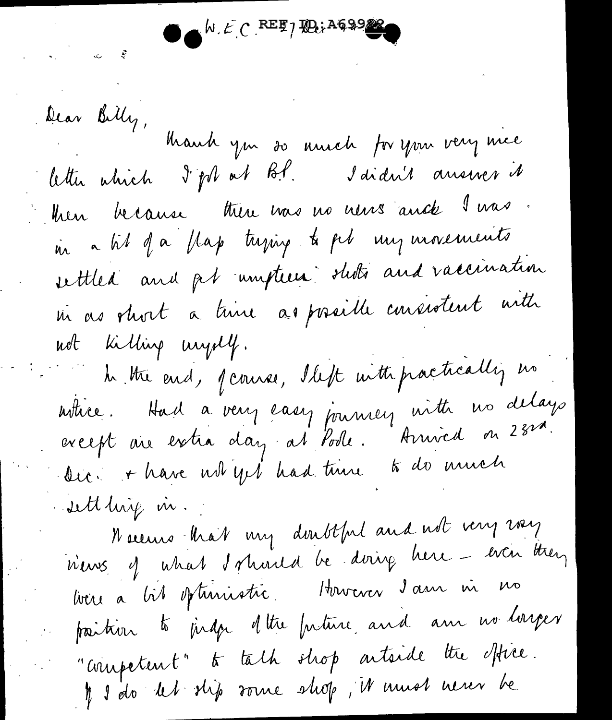$N.E C$  REE 7 HOU AG99

Dear Billy, Mauch you so annoh for your very mice letter which I for at B.P. I didn't answer it then because there was no news and I was. in a til of a flap tuping to pel my movements settled and pt umpteen sluts and vaccination in as short a time as possible consistent with not killing unjell. h the end, pourse, lleft with pactically no utice. Had a very easy journey with no delays<br>except are extra day at Pode. Arrived on 23rd. to do much Dic. + have not yet had time sett hig in.

Neceurs that my doubtful and not very vay n'ens of what I should be doing here - even they bon a bit optimistre. However 2 ans in no paition to judge of the future and am no longer "competent" to talk shop artside the office.  $\eta$  s'éto det stip source strop, it must never be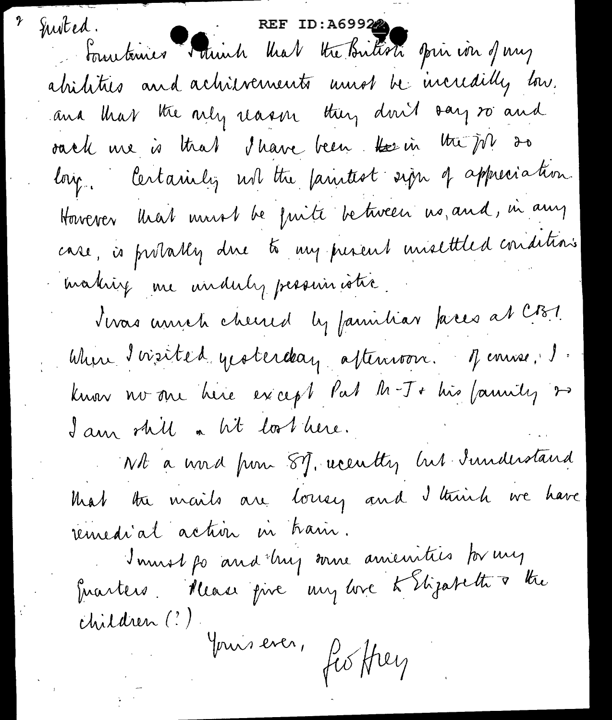sted. Fourtenier Mainh Mal the Britisti opin ion of my Justed. abilities and achievements unes be incredibly low. and that the nity reason they don't say to and oach me is that I have been the in the job 20 long. Certainly ust the faintest sign of appreciation. However that must be fuite between us, and, in any case, is probably due to my persent unsettled conditions making me unduly persuinatio. twas unich cheered by familiar faces at CB1. When I visited yesterday afternoon. Jenne, J. know no one here except Pat M-J+ his family 2 I am shill a lit los here. Wh a word from 87, acculty his Sunderstand that the mails are loney and I think we have remedial action in train. Immot po and hy some amenities for my Enanters. Rease pire my ure té Etizabeth à the children (?) Jours ever, fis they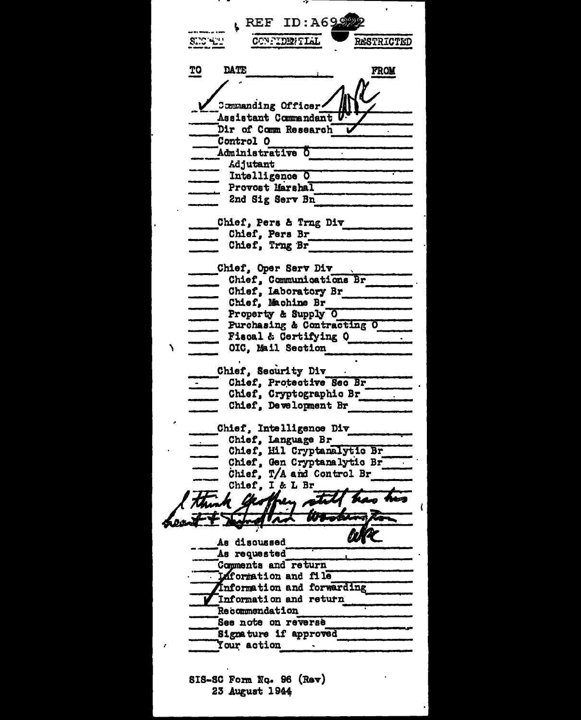$E$  REF ID: A69.9 **SHO 4.1** CONFIDENTIAL **RESTRICTED** TO DATE **FROM** Commanding Officer Assistant Commandant U Dir of Comm Research Ū Control O Administrative O Adjutant Intelligence O Provost Marshal 2nd Sig Serv Bn Chief, Pers & Trng Div Chief, Pers Br Chief, Trng Br Chief, Oper Serv Div - Unief, Communications Br<br>
- Chief, Laboratory Br<br>
- Chief, Machine Br<br>
- Property & Supply O<br>
- Purchasing & Contracting O<br>
- Fiscal & Certifying O<br>
- OIC, Mail Section Chief, Security Div Chief, Protective Sec Br Chief, Cryptographic Br Chief, Development Br Chief, Intelligence Div Chief, Language Br Chief, Hil Cryptanalytic Br Chief, Gen Cryptanalytic Br Chief, T/A and Control Br Chief, I & L Br be aben der der der der anten den heazuoafb aA As requested Comments and return **Liformation** and file Information and forwarding Information and return Recommendation See note on reverse Signature if approved **Your action** SIS-SC Form No. 96 (Rev) 23 August 1944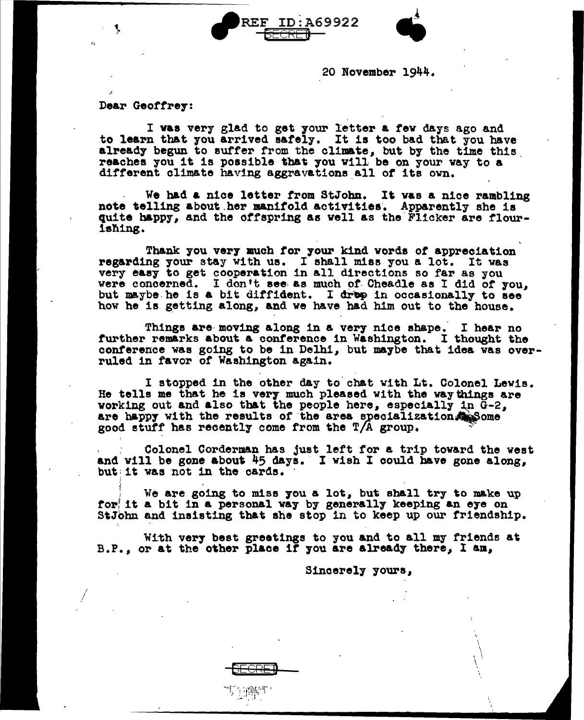



20 November 1944.

Dear Geoffrey:

I */* 

I was very glad to get your letter a few days ago and to learn that you arrived safely. It is too bad that you have already begun to suffer from the climate, but by the time this. reaches you it is possible tbat 7ou w111 be on your way to a different climate having aggravations\_all *ot* its own.

We had a nice letter from StJohn. It was a nice rambling note telling about her manifold activities. Apparently she is quite happy, and the otfspring as well as the-Flicker are tlour-1all.1ng.

Thank you ver7 much tor your kind words *ot* appreciation regarding your stay with ue. I shall miss you a lot. It was very easy to get cooperation in all directions so far as you were concerned. I don't see as much of Cheadle as I did of you, but maybe he is a bit diffident. I drep in occasionally to see how he is getting along, and we have had him out to the house.

Things are moving along in a very nice shape. I hear no further remarks about a conference in Washington. I thought the conference was going to be in Delhi, but maybe that idea was overruled in favor of Washington again.

I stopped in the other day to chat with Lt. Colonel Lewis. He tells me that he is very much pleased with the way things are working out and also that the people here, especially in  $\bar{G}-2$ . are happy with the results of the area specialization. Some good stuff has recently come from the  $T/A$  group.

Colonel Corderman has just left for a trip toward the west and will be gone about  $45$  days. I wish I could have gone along, but: it was not in the cards.

We are going to miss you a lot, but shall try to make up for! it a bit in a personal way by generally keeping an eye on StJohn and insisting that she stop in to keep up our friendship. ', -

With very best greetings to you and to all my friends at B.P., or at the other place if you are already there, I am,

DEGRE:)

 $\cdot\cdot\cdot$  ,  $\cdot\cdot\cdot$  for  $\cdot\cdot\cdot$  for  $\cdot\cdot\cdot$  .  $\mathcal{L}^{\mathcal{M}}$  ,  $\mathcal{L}^{\mathcal{M}}$  ,  $\mathcal{L}^{\mathcal{M}}$ 

Sincerely 7ours,

I  $\mathcal{L}$ ' \  $\widetilde{L}$